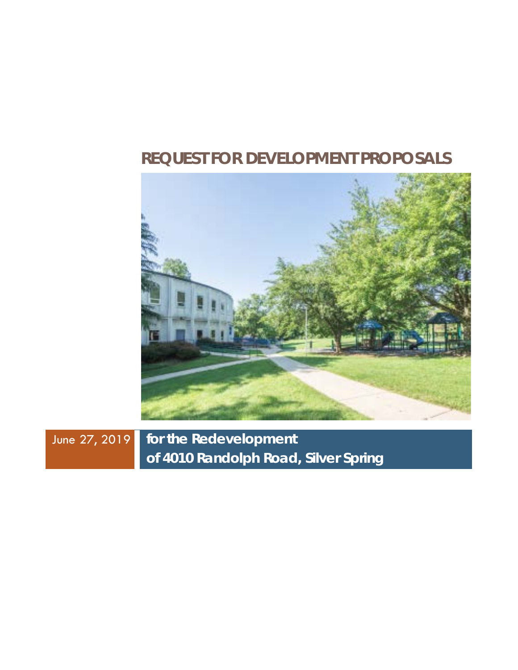# **REQUEST FOR DEVELOPMENT PROPOSALS**



June 27, 2019 **for the Redevelopment of 4010 Randolph Road, Silver Spring**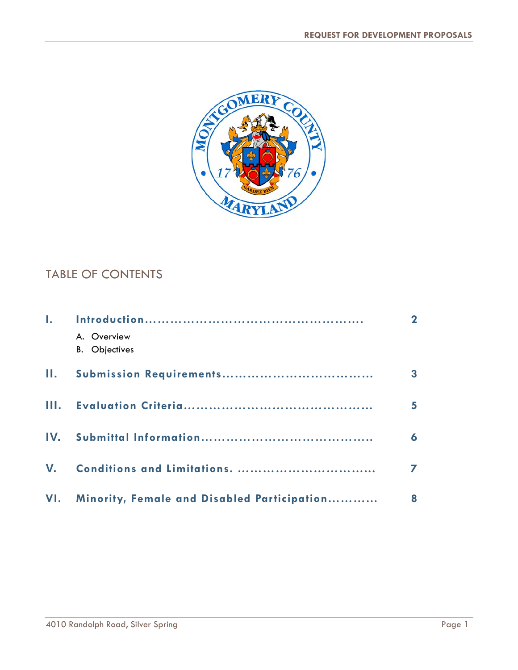

## TABLE OF CONTENTS

| A. Overview                                     |   |
|-------------------------------------------------|---|
| <b>B.</b> Objectives                            |   |
|                                                 | 3 |
|                                                 |   |
|                                                 | 6 |
|                                                 |   |
| VI. Minority, Female and Disabled Participation | 8 |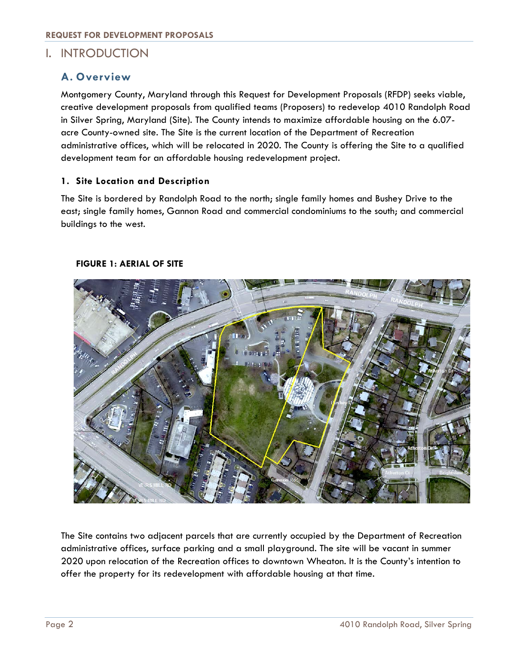## I. INTRODUCTION

### **A. Overview**

Montgomery County, Maryland through this Request for Development Proposals (RFDP) seeks viable, creative development proposals from qualified teams (Proposers) to redevelop 4010 Randolph Road in Silver Spring, Maryland (Site). The County intends to maximize affordable housing on the 6.07 acre County-owned site. The Site is the current location of the Department of Recreation administrative offices, which will be relocated in 2020. The County is offering the Site to a qualified development team for an affordable housing redevelopment project.

#### **1. Site Location and Description**

The Site is bordered by Randolph Road to the north; single family homes and Bushey Drive to the east; single family homes, Gannon Road and commercial condominiums to the south; and commercial buildings to the west.



#### **FIGURE 1: AERIAL OF SITE**

The Site contains two adjacent parcels that are currently occupied by the Department of Recreation administrative offices, surface parking and a small playground. The site will be vacant in summer 2020 upon relocation of the Recreation offices to downtown Wheaton. It is the County's intention to offer the property for its redevelopment with affordable housing at that time.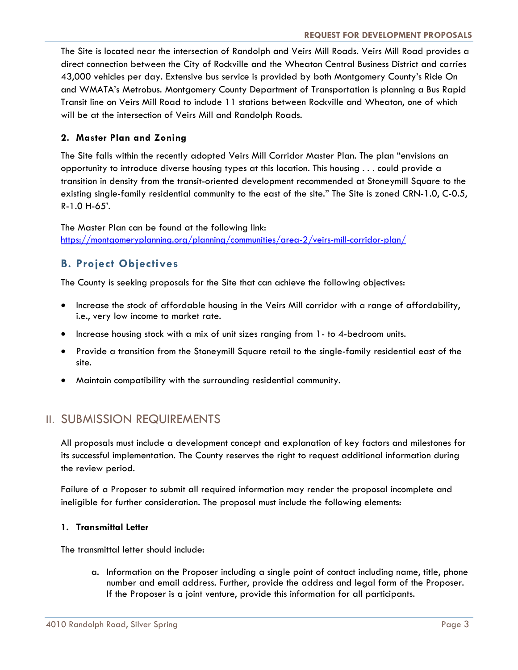The Site is located near the intersection of Randolph and Veirs Mill Roads. Veirs Mill Road provides a direct connection between the City of Rockville and the Wheaton Central Business District and carries 43,000 vehicles per day. Extensive bus service is provided by both Montgomery County's Ride On and WMATA's Metrobus. Montgomery County Department of Transportation is planning a Bus Rapid Transit line on Veirs Mill Road to include 11 stations between Rockville and Wheaton, one of which will be at the intersection of Veirs Mill and Randolph Roads.

#### **2. Master Plan and Zoning**

The Site falls within the recently adopted Veirs Mill Corridor Master Plan. The plan "envisions an opportunity to introduce diverse housing types at this location. This housing . . . could provide a transition in density from the transit-oriented development recommended at Stoneymill Square to the existing single-family residential community to the east of the site." The Site is zoned CRN-1.0, C-0.5, R-1.0 H-65'.

The Master Plan can be found at the following link: <https://montgomeryplanning.org/planning/communities/area-2/veirs-mill-corridor-plan/>

## **B. Project Objectives**

The County is seeking proposals for the Site that can achieve the following objectives:

- Increase the stock of affordable housing in the Veirs Mill corridor with a range of affordability, i.e., very low income to market rate.
- Increase housing stock with a mix of unit sizes ranging from 1- to 4-bedroom units.
- Provide a transition from the Stoneymill Square retail to the single-family residential east of the site.
- Maintain compatibility with the surrounding residential community.

## II. SUBMISSION REQUIREMENTS

All proposals must include a development concept and explanation of key factors and milestones for its successful implementation. The County reserves the right to request additional information during the review period.

Failure of a Proposer to submit all required information may render the proposal incomplete and ineligible for further consideration. The proposal must include the following elements:

#### **1. Transmittal Letter**

The transmittal letter should include:

a. Information on the Proposer including a single point of contact including name, title, phone number and email address. Further, provide the address and legal form of the Proposer. If the Proposer is a joint venture, provide this information for all participants.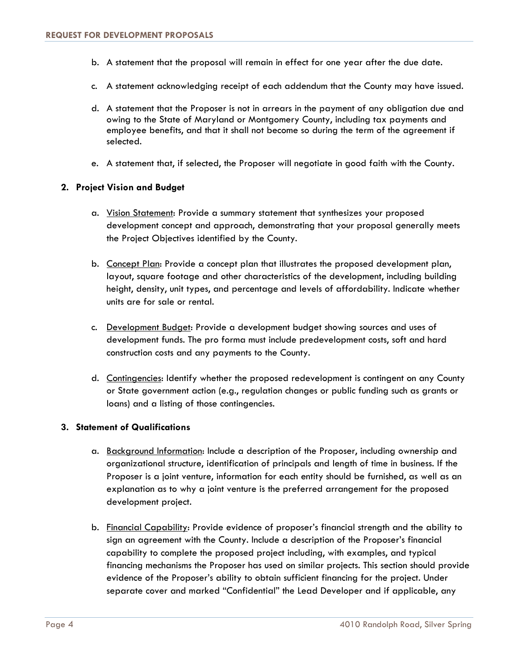- b. A statement that the proposal will remain in effect for one year after the due date.
- c. A statement acknowledging receipt of each addendum that the County may have issued.
- d. A statement that the Proposer is not in arrears in the payment of any obligation due and owing to the State of Maryland or Montgomery County, including tax payments and employee benefits, and that it shall not become so during the term of the agreement if selected.
- e. A statement that, if selected, the Proposer will negotiate in good faith with the County.

#### **2. Project Vision and Budget**

- a. Vision Statement: Provide a summary statement that synthesizes your proposed development concept and approach, demonstrating that your proposal generally meets the Project Objectives identified by the County.
- b. Concept Plan: Provide a concept plan that illustrates the proposed development plan, layout, square footage and other characteristics of the development, including building height, density, unit types, and percentage and levels of affordability. Indicate whether units are for sale or rental.
- c. Development Budget: Provide a development budget showing sources and uses of development funds. The pro forma must include predevelopment costs, soft and hard construction costs and any payments to the County.
- d. Contingencies: Identify whether the proposed redevelopment is contingent on any County or State government action (e.g., regulation changes or public funding such as grants or loans) and a listing of those contingencies.

#### **3. Statement of Qualifications**

- a. Background Information: Include a description of the Proposer, including ownership and organizational structure, identification of principals and length of time in business. If the Proposer is a joint venture, information for each entity should be furnished, as well as an explanation as to why a joint venture is the preferred arrangement for the proposed development project.
- b. Financial Capability: Provide evidence of proposer's financial strength and the ability to sign an agreement with the County. Include a description of the Proposer's financial capability to complete the proposed project including, with examples, and typical financing mechanisms the Proposer has used on similar projects. This section should provide evidence of the Proposer's ability to obtain sufficient financing for the project. Under separate cover and marked "Confidential" the Lead Developer and if applicable, any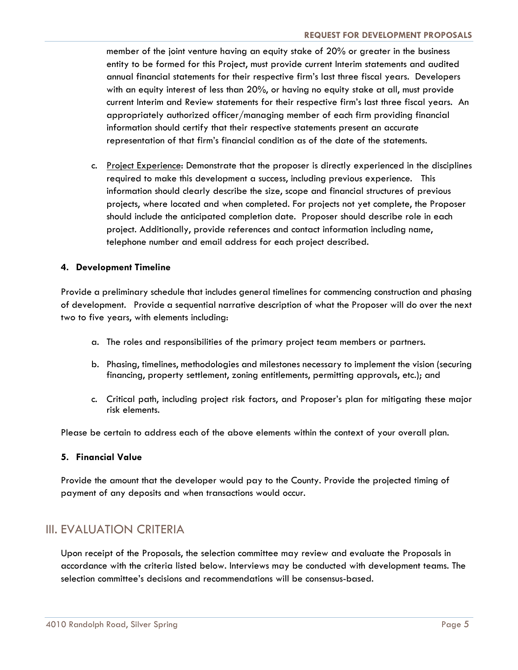member of the joint venture having an equity stake of 20% or greater in the business entity to be formed for this Project, must provide current Interim statements and audited annual financial statements for their respective firm's last three fiscal years. Developers with an equity interest of less than 20%, or having no equity stake at all, must provide current Interim and Review statements for their respective firm's last three fiscal years. An appropriately authorized officer/managing member of each firm providing financial information should certify that their respective statements present an accurate representation of that firm's financial condition as of the date of the statements.

c. Project Experience: Demonstrate that the proposer is directly experienced in the disciplines required to make this development a success, including previous experience. This information should clearly describe the size, scope and financial structures of previous projects, where located and when completed. For projects not yet complete, the Proposer should include the anticipated completion date. Proposer should describe role in each project. Additionally, provide references and contact information including name, telephone number and email address for each project described.

#### **4. Development Timeline**

Provide a preliminary schedule that includes general timelines for commencing construction and phasing of development. Provide a sequential narrative description of what the Proposer will do over the next two to five years, with elements including:

- a. The roles and responsibilities of the primary project team members or partners.
- b. Phasing, timelines, methodologies and milestones necessary to implement the vision (securing financing, property settlement, zoning entitlements, permitting approvals, etc.); and
- c. Critical path, including project risk factors, and Proposer's plan for mitigating these major risk elements.

Please be certain to address each of the above elements within the context of your overall plan.

#### **5. Financial Value**

Provide the amount that the developer would pay to the County. Provide the projected timing of payment of any deposits and when transactions would occur.

## III. EVALUATION CRITERIA

Upon receipt of the Proposals, the selection committee may review and evaluate the Proposals in accordance with the criteria listed below. Interviews may be conducted with development teams. The selection committee's decisions and recommendations will be consensus-based.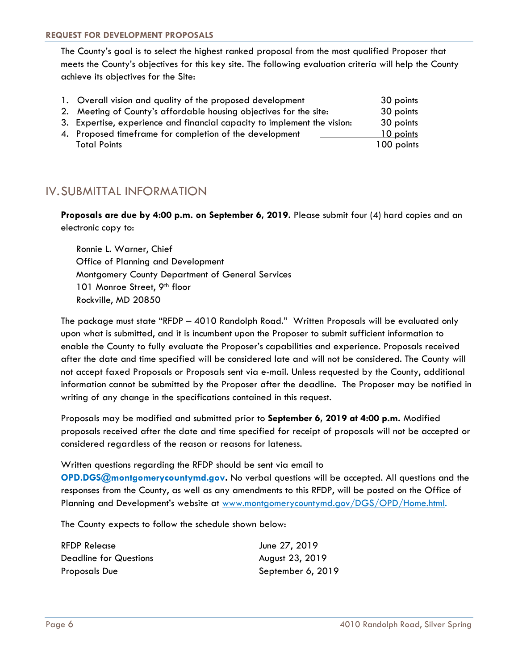The County's goal is to select the highest ranked proposal from the most qualified Proposer that meets the County's objectives for this key site. The following evaluation criteria will help the County achieve its objectives for the Site:

| 1. Overall vision and quality of the proposed development                | 30 points  |
|--------------------------------------------------------------------------|------------|
| 2. Meeting of County's affordable housing objectives for the site:       | 30 points  |
| 3. Expertise, experience and financial capacity to implement the vision: | 30 points  |
| 4. Proposed timeframe for completion of the development                  | 10 points  |
| <b>Total Points</b>                                                      | 100 points |

## IV.SUBMITTAL INFORMATION

**Proposals are due by 4:00 p.m. on September 6, 2019.** Please submit four (4) hard copies and an electronic copy to:

Ronnie L. Warner, Chief Office of Planning and Development Montgomery County Department of General Services 101 Monroe Street, 9<sup>th</sup> floor Rockville, MD 20850

The package must state "RFDP – 4010 Randolph Road." Written Proposals will be evaluated only upon what is submitted, and it is incumbent upon the Proposer to submit sufficient information to enable the County to fully evaluate the Proposer's capabilities and experience. Proposals received after the date and time specified will be considered late and will not be considered. The County will not accept faxed Proposals or Proposals sent via e-mail. Unless requested by the County, additional information cannot be submitted by the Proposer after the deadline. The Proposer may be notified in writing of any change in the specifications contained in this request.

Proposals may be modified and submitted prior to **September 6, 2019 at 4:00 p.m.** Modified proposals received after the date and time specified for receipt of proposals will not be accepted or considered regardless of the reason or reasons for lateness.

Written questions regarding the RFDP should be sent via email to

**OPD.DGS@montgomerycountymd.gov.** No verbal questions will be accepted. All questions and the responses from the County, as well as any amendments to this RFDP, will be posted on the Office of Planning and Development's website at [www.montgomerycountymd.gov/DGS/OPD/Home.html.](http://www.montgomerycountymd.gov/DGS/OPD/Home.html)

The County expects to follow the schedule shown below:

| RFDP Release           | June 27, 2019     |
|------------------------|-------------------|
| Deadline for Questions | August 23, 2019   |
| Proposals Due          | September 6, 2019 |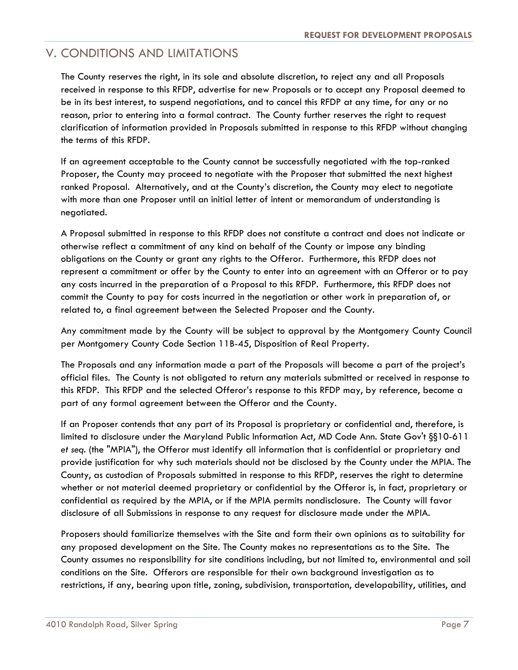## V. CONDITIONS AND LIMITATIONS

The County reserves the right, in its sole and absolute discretion, to reject any and all Proposals received in response to this RFDP, advertise for new Proposals or to accept any Proposal deemed to be in its best interest, to suspend negotiations, and to cancel this RFDP at any time, for any or no reason, prior to entering into a formal contract. The County further reserves the right to request clarification of information provided in Proposals submitted in response to this RFDP without changing the terms of this RFDP.

If an agreement acceptable to the County cannot be successfully negotiated with the top-ranked Proposer, the County may proceed to negotiate with the Proposer that submitted the next highest ranked Proposal. Alternatively, and at the County's discretion, the County may elect to negotiate with more than one Proposer until an initial letter of intent or memorandum of understanding is negotiated.

A Proposal submitted in response to this RFDP does not constitute a contract and does not indicate or otherwise reflect a commitment of any kind on behalf of the County or impose any binding obligations on the County or grant any rights to the Offeror. Furthermore, this RFDP does not represent a commitment or offer by the County to enter into an agreement with an Offeror or to pay any costs incurred in the preparation of a Proposal to this RFDP. Furthermore, this RFDP does not commit the County to pay for costs incurred in the negotiation or other work in preparation of, or related to, a final agreement between the Selected Proposer and the County.

Any commitment made by the County will be subject to approval by the Montgomery County Council per Montgomery County Code Section 11B-45, Disposition of Real Property.

The Proposals and any information made a part of the Proposals will become a part of the project's official files. The County is not obligated to return any materials submitted or received in response to this RFDP. This RFDP and the selected Offeror's response to this RFDP may, by reference, become a part of any formal agreement between the Offeror and the County.

If an Proposer contends that any part of its Proposal is proprietary or confidential and, therefore, is limited to disclosure under the Maryland Public Information Act, MD Code Ann. State Gov't §§10-611 *et seq.* (the "MPIA"), the Offeror must identify all information that is confidential or proprietary and provide justification for why such materials should not be disclosed by the County under the MPIA. The County, as custodian of Proposals submitted in response to this RFDP, reserves the right to determine whether or not material deemed proprietary or confidential by the Offeror is, in fact, proprietary or confidential as required by the MPIA, or if the MPIA permits nondisclosure. The County will favor disclosure of all Submissions in response to any request for disclosure made under the MPIA.

Proposers should familiarize themselves with the Site and form their own opinions as to suitability for any proposed development on the Site. The County makes no representations as to the Site. The County assumes no responsibility for site conditions including, but not limited to, environmental and soil conditions on the Site. Offerors are responsible for their own background investigation as to restrictions, if any, bearing upon title, zoning, subdivision, transportation, developability, utilities, and